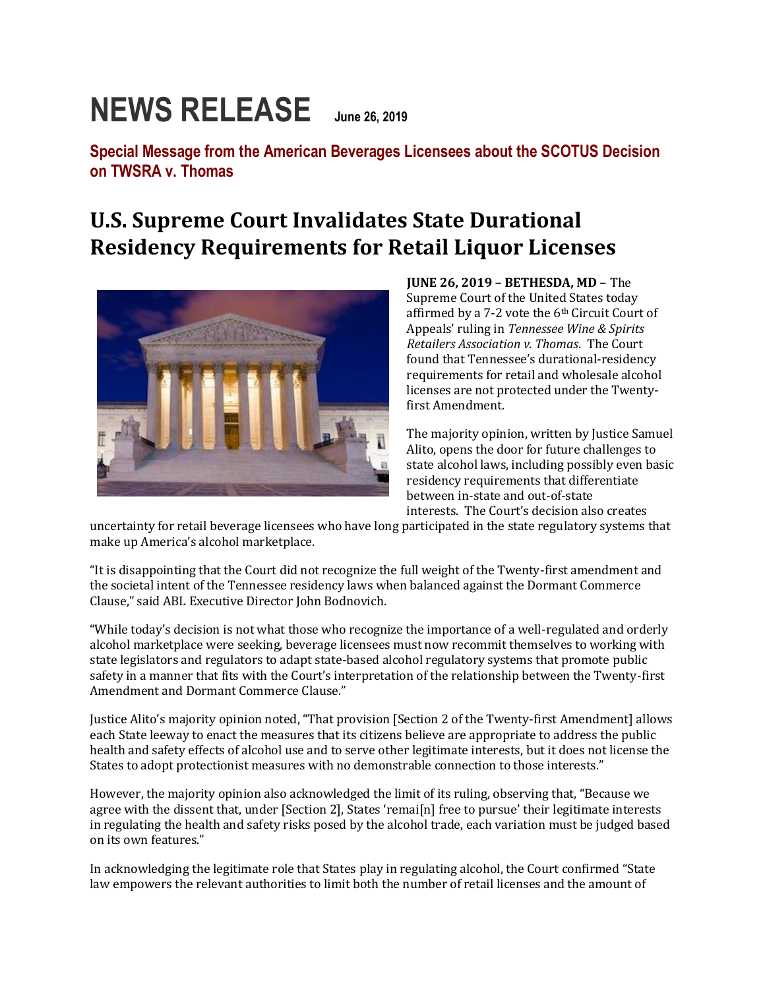## **NEWS RELEASE June 26, 2019**

**Special Message from the American Beverages Licensees about the SCOTUS Decision on TWSRA v. Thomas**

## **U.S. Supreme Court Invalidates State Durational Residency Requirements for Retail Liquor Licenses**



**JUNE 26, 2019 – BETHESDA, MD –** The Supreme Court of the United States today affirmed by a 7-2 vote the 6th Circuit Court of Appeals' ruling in *Tennessee Wine & Spirits Retailers Association v. Thomas*. The Court found that Tennessee's durational-residency requirements for retail and wholesale alcohol licenses are not protected under the Twentyfirst Amendment.

The majority opinion, written by Justice Samuel Alito, opens the door for future challenges to state alcohol laws, including possibly even basic residency requirements that differentiate between in-state and out-of-state interests. The Court's decision also creates

uncertainty for retail beverage licensees who have long participated in the state regulatory systems that make up America's alcohol marketplace.

"It is disappointing that the Court did not recognize the full weight of the Twenty-first amendment and the societal intent of the Tennessee residency laws when balanced against the Dormant Commerce Clause," said ABL Executive Director John Bodnovich.

"While today's decision is not what those who recognize the importance of a well-regulated and orderly alcohol marketplace were seeking, beverage licensees must now recommit themselves to working with state legislators and regulators to adapt state-based alcohol regulatory systems that promote public safety in a manner that fits with the Court's interpretation of the relationship between the Twenty-first Amendment and Dormant Commerce Clause."

Justice Alito's majority opinion noted, "That provision [Section 2 of the Twenty-first Amendment] allows each State leeway to enact the measures that its citizens believe are appropriate to address the public health and safety effects of alcohol use and to serve other legitimate interests, but it does not license the States to adopt protectionist measures with no demonstrable connection to those interests."

However, the majority opinion also acknowledged the limit of its ruling, observing that, "Because we agree with the dissent that, under [Section 2], States 'remai[n] free to pursue' their legitimate interests in regulating the health and safety risks posed by the alcohol trade, each variation must be judged based on its own features."

In acknowledging the legitimate role that States play in regulating alcohol, the Court confirmed "State law empowers the relevant authorities to limit both the number of retail licenses and the amount of